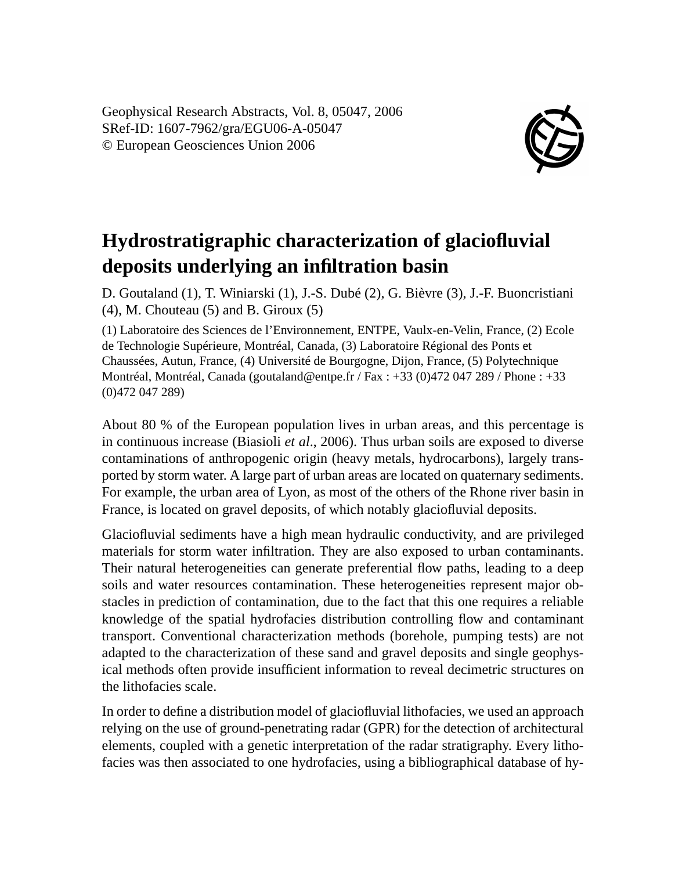Geophysical Research Abstracts, Vol. 8, 05047, 2006 SRef-ID: 1607-7962/gra/EGU06-A-05047 © European Geosciences Union 2006



## **Hydrostratigraphic characterization of glaciofluvial deposits underlying an infiltration basin**

D. Goutaland (1), T. Winiarski (1), J.-S. Dubé (2), G. Bièvre (3), J.-F. Buoncristiani  $(4)$ , M. Chouteau  $(5)$  and B. Giroux  $(5)$ 

(1) Laboratoire des Sciences de l'Environnement, ENTPE, Vaulx-en-Velin, France, (2) Ecole de Technologie Supérieure, Montréal, Canada, (3) Laboratoire Régional des Ponts et Chaussées, Autun, France, (4) Université de Bourgogne, Dijon, France, (5) Polytechnique Montréal, Montréal, Canada (goutaland@entpe.fr / Fax : +33 (0)472 047 289 / Phone : +33 (0)472 047 289)

About 80 % of the European population lives in urban areas, and this percentage is in continuous increase (Biasioli *et al*., 2006). Thus urban soils are exposed to diverse contaminations of anthropogenic origin (heavy metals, hydrocarbons), largely transported by storm water. A large part of urban areas are located on quaternary sediments. For example, the urban area of Lyon, as most of the others of the Rhone river basin in France, is located on gravel deposits, of which notably glaciofluvial deposits.

Glaciofluvial sediments have a high mean hydraulic conductivity, and are privileged materials for storm water infiltration. They are also exposed to urban contaminants. Their natural heterogeneities can generate preferential flow paths, leading to a deep soils and water resources contamination. These heterogeneities represent major obstacles in prediction of contamination, due to the fact that this one requires a reliable knowledge of the spatial hydrofacies distribution controlling flow and contaminant transport. Conventional characterization methods (borehole, pumping tests) are not adapted to the characterization of these sand and gravel deposits and single geophysical methods often provide insufficient information to reveal decimetric structures on the lithofacies scale.

In order to define a distribution model of glaciofluvial lithofacies, we used an approach relying on the use of ground-penetrating radar (GPR) for the detection of architectural elements, coupled with a genetic interpretation of the radar stratigraphy. Every lithofacies was then associated to one hydrofacies, using a bibliographical database of hy